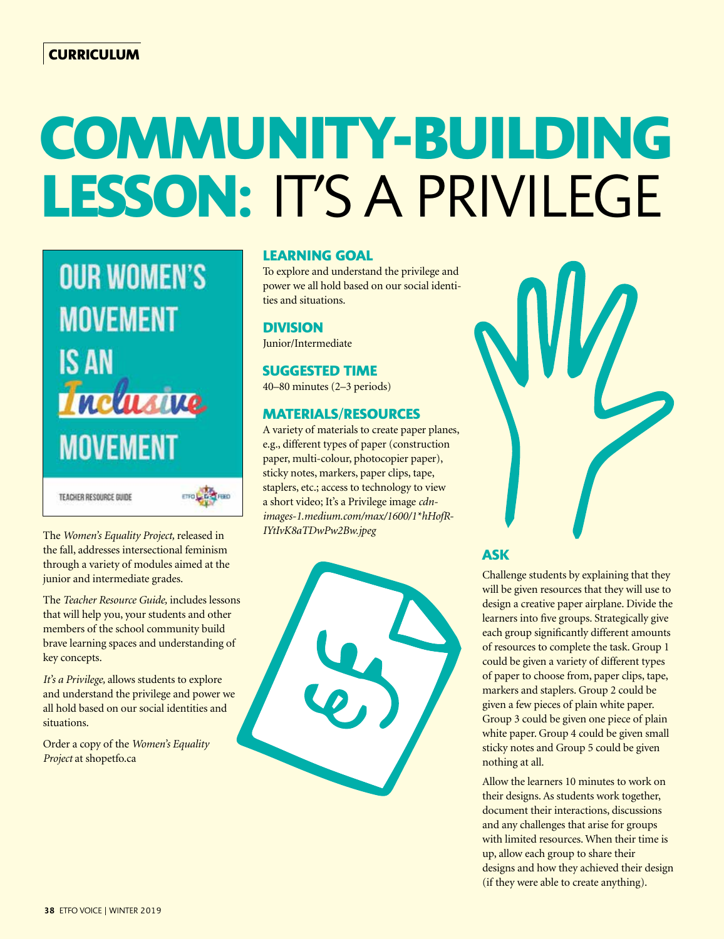# **COMMUNITY-BUILDING LESSON:** IT'S A PRIVILEGE



TEACHER RESOURCE GUIDE

ETOL DE FEED

The *Women's Equality Project,* released in the fall, addresses intersectional feminism through a variety of modules aimed at the junior and intermediate grades.

The *Teacher Resource Guide,* includes lessons that will help you, your students and other members of the school community build brave learning spaces and understanding of key concepts.

*It's a Privilege,* allows students to explore and understand the privilege and power we all hold based on our social identities and situations.

Order a copy of the *Women's Equality Project* at shopetfo.ca

## **LEARNING GOAL**

To explore and understand the privilege and power we all hold based on our social identities and situations.

**DIVISION**

# Junior/Intermediate

## **SUGGESTED TIME**

40–80 minutes (2–3 periods)

### **MATERIALS/RESOURCES**

A variety of materials to create paper planes, e.g., different types of paper (construction paper, multi-colour, photocopier paper), sticky notes, markers, paper clips, tape, staplers, etc.; access to technology to view a short video; It's a Privilege image *cdnimages-1.medium.com/max/1600/1\*hHofR-IYtIvK8aTDwPw2Bw.jpeg*

# **ASK**

Challenge students by explaining that they will be given resources that they will use to design a creative paper airplane. Divide the learners into five groups. Strategically give each group significantly different amounts of resources to complete the task. Group 1 could be given a variety of different types of paper to choose from, paper clips, tape, markers and staplers. Group 2 could be given a few pieces of plain white paper. Group 3 could be given one piece of plain white paper. Group 4 could be given small sticky notes and Group 5 could be given nothing at all.

Allow the learners 10 minutes to work on their designs. As students work together, document their interactions, discussions and any challenges that arise for groups with limited resources. When their time is up, allow each group to share their designs and how they achieved their design (if they were able to create anything).